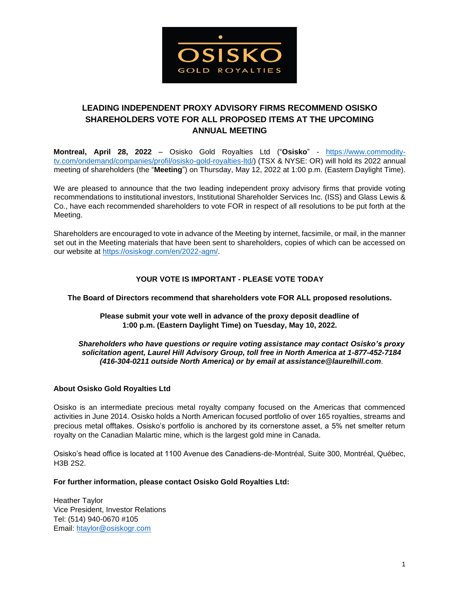

# **LEADING INDEPENDENT PROXY ADVISORY FIRMS RECOMMEND OSISKO SHAREHOLDERS VOTE FOR ALL PROPOSED ITEMS AT THE UPCOMING ANNUAL MEETING**

**Montreal, April 28, 2022** – Osisko Gold Royalties Ltd ("**Osisko**" - [https://www.commodity](https://www.commodity-tv.com/ondemand/companies/profil/osisko-gold-royalties-ltd/)[tv.com/ondemand/companies/profil/osisko-gold-royalties-ltd/\)](https://www.commodity-tv.com/ondemand/companies/profil/osisko-gold-royalties-ltd/) (TSX & NYSE: OR) will hold its 2022 annual meeting of shareholders (the "**Meeting**") on Thursday, May 12, 2022 at 1:00 p.m. (Eastern Daylight Time).

We are pleased to announce that the two leading independent proxy advisory firms that provide voting recommendations to institutional investors, Institutional Shareholder Services Inc. (ISS) and Glass Lewis & Co., have each recommended shareholders to vote FOR in respect of all resolutions to be put forth at the Meeting.

Shareholders are encouraged to vote in advance of the Meeting by internet, facsimile, or mail, in the manner set out in the Meeting materials that have been sent to shareholders, copies of which can be accessed on our website at <https://osiskogr.com/en/2022-agm/>[.](http://www.baytexenergy.com/investor/agm) 

## **YOUR VOTE IS IMPORTANT - PLEASE VOTE TODAY**

#### **The Board of Directors recommend that shareholders vote FOR ALL proposed resolutions.**

#### **Please submit your vote well in advance of the proxy deposit deadline of 1:00 p.m. (Eastern Daylight Time) on Tuesday, May 10, 2022.**

#### *Shareholders who have questions or require voting assistance may contact Osisko's proxy solicitation agent, Laurel Hill Advisory Group, toll free in North America at 1-877-452-7184 (416-304-0211 outside North America) or by email at assistance@laurelhill.com*.

### **About Osisko Gold Royalties Ltd**

Osisko is an intermediate precious metal royalty company focused on the Americas that commenced activities in June 2014. Osisko holds a North American focused portfolio of over 165 royalties, streams and precious metal offtakes. Osisko's portfolio is anchored by its cornerstone asset, a 5% net smelter return royalty on the Canadian Malartic mine, which is the largest gold mine in Canada.

Osisko's head office is located at 1100 Avenue des Canadiens-de-Montréal, Suite 300, Montréal, Québec, H3B 2S2.

#### **For further information, please contact Osisko Gold Royalties Ltd:**

Heather Taylor Vice President, Investor Relations Tel: (514) 940-0670 #105 Email: [htaylor@osiskogr.com](mailto:htaylor@osiskogr.com)